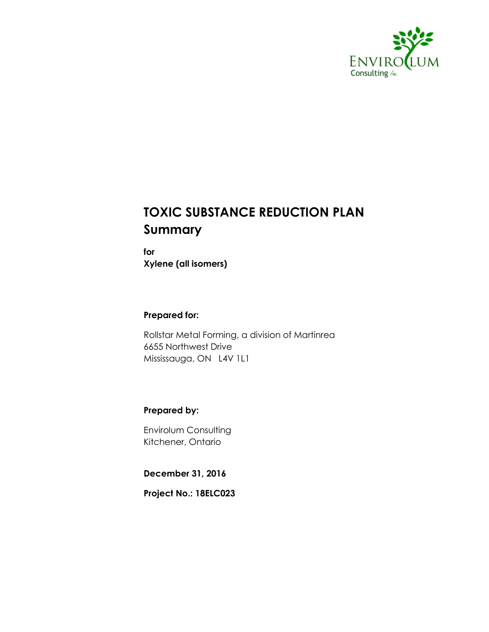

## **TOXIC SUBSTANCE REDUCTION PLAN Summary**

**for Xylene (all isomers)**

#### **Prepared for:**

Rollstar Metal Forming, a division of Martinrea 6655 Northwest Drive Mississauga, ON L4V 1L1

#### **Prepared by:**

Envirolum Consulting Kitchener, Ontario

**December 31, 2016**

**Project No.: 18ELC023**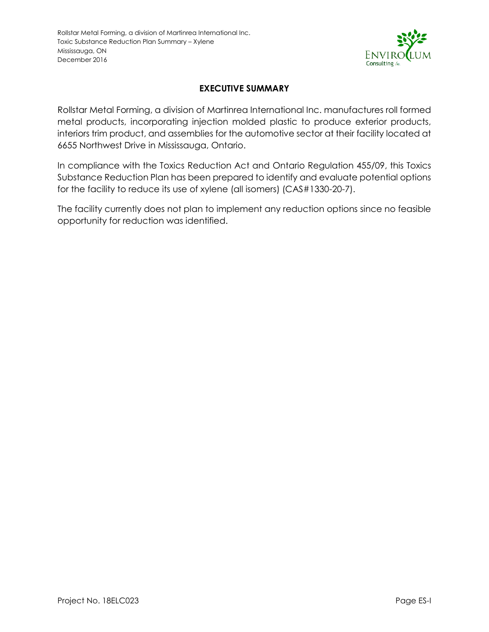

#### **EXECUTIVE SUMMARY**

<span id="page-1-0"></span>Rollstar Metal Forming, a division of Martinrea International Inc. manufactures roll formed metal products, incorporating injection molded plastic to produce exterior products, interiors trim product, and assemblies for the automotive sector at their facility located at 6655 Northwest Drive in Mississauga, Ontario.

In compliance with the Toxics Reduction Act and Ontario Regulation 455/09, this Toxics Substance Reduction Plan has been prepared to identify and evaluate potential options for the facility to reduce its use of xylene (all isomers) (CAS#1330-20-7).

The facility currently does not plan to implement any reduction options since no feasible opportunity for reduction was identified.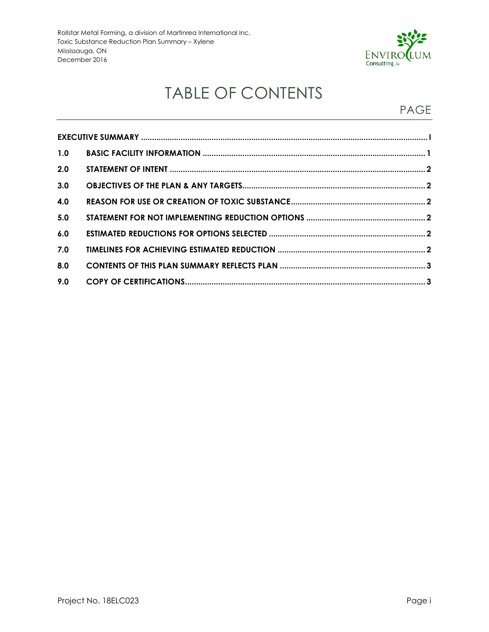

# TABLE OF CONTENTS

### PAGE

| 1.0 |  |  |  |  |
|-----|--|--|--|--|
| 2.0 |  |  |  |  |
| 3.0 |  |  |  |  |
| 4.0 |  |  |  |  |
| 5.0 |  |  |  |  |
| 6.0 |  |  |  |  |
| 7.0 |  |  |  |  |
| 8.0 |  |  |  |  |
| 9.0 |  |  |  |  |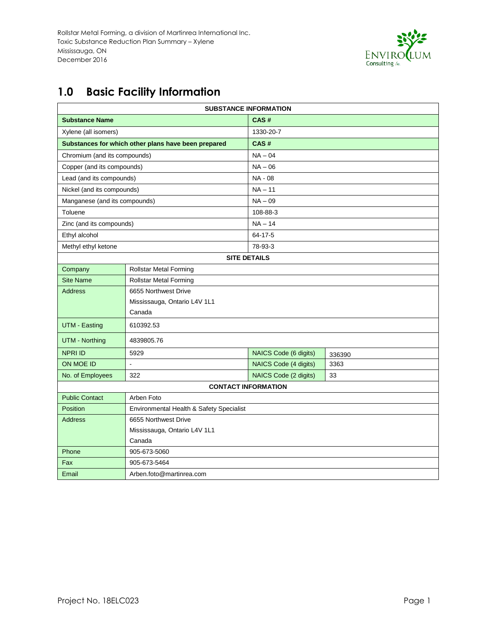

## <span id="page-3-0"></span>**1.0 Basic Facility Information**

| <b>SUBSTANCE INFORMATION</b>           |                                                     |                       |        |  |  |
|----------------------------------------|-----------------------------------------------------|-----------------------|--------|--|--|
| <b>Substance Name</b>                  |                                                     | CAS#                  |        |  |  |
| Xylene (all isomers)                   |                                                     | 1330-20-7             |        |  |  |
|                                        | Substances for which other plans have been prepared | CAS#                  |        |  |  |
| Chromium (and its compounds)           |                                                     | $NA - 04$             |        |  |  |
| Copper (and its compounds)             |                                                     | $NA - 06$             |        |  |  |
| Lead (and its compounds)               |                                                     | NA - 08               |        |  |  |
| Nickel (and its compounds)             |                                                     | $NA - 11$             |        |  |  |
| Manganese (and its compounds)          |                                                     | $NA - 09$             |        |  |  |
| Toluene                                |                                                     | 108-88-3              |        |  |  |
| Zinc (and its compounds)               |                                                     | $NA - 14$             |        |  |  |
| Ethyl alcohol                          |                                                     | 64-17-5               |        |  |  |
| Methyl ethyl ketone                    |                                                     | 78-93-3               |        |  |  |
| <b>SITE DETAILS</b>                    |                                                     |                       |        |  |  |
| Company                                | <b>Rollstar Metal Forming</b>                       |                       |        |  |  |
| <b>Site Name</b>                       | <b>Rollstar Metal Forming</b>                       |                       |        |  |  |
| <b>Address</b>                         | 6655 Northwest Drive                                |                       |        |  |  |
|                                        | Mississauga, Ontario L4V 1L1                        |                       |        |  |  |
|                                        | Canada                                              |                       |        |  |  |
| UTM - Easting                          | 610392.53                                           |                       |        |  |  |
| <b>UTM - Northing</b>                  | 4839805.76                                          |                       |        |  |  |
| <b>NPRI ID</b>                         | 5929                                                | NAICS Code (6 digits) | 336390 |  |  |
| <b>ON MOE ID</b>                       | Ĭ.                                                  | NAICS Code (4 digits) | 3363   |  |  |
| No. of Employees                       | 322                                                 | NAICS Code (2 digits) | 33     |  |  |
| <b>CONTACT INFORMATION</b>             |                                                     |                       |        |  |  |
| <b>Public Contact</b>                  | Arben Foto                                          |                       |        |  |  |
| Position                               | Environmental Health & Safety Specialist            |                       |        |  |  |
| <b>Address</b><br>6655 Northwest Drive |                                                     |                       |        |  |  |
|                                        | Mississauga, Ontario L4V 1L1                        |                       |        |  |  |
|                                        | Canada                                              |                       |        |  |  |
| Phone                                  | 905-673-5060                                        |                       |        |  |  |
| Fax                                    | 905-673-5464                                        |                       |        |  |  |
| Email                                  | Arben.foto@martinrea.com                            |                       |        |  |  |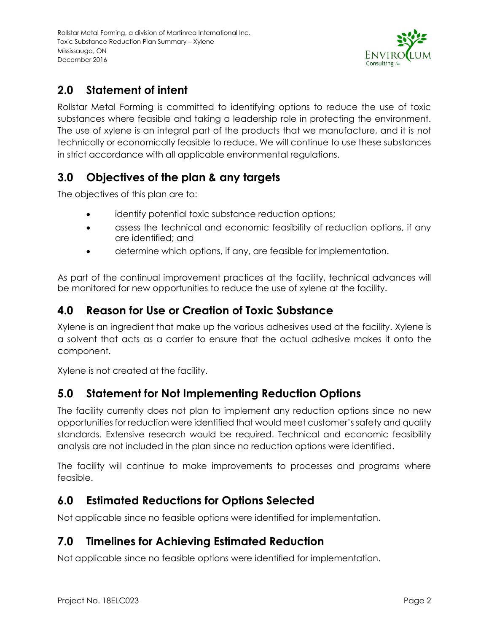

### <span id="page-4-0"></span>**2.0 Statement of intent**

<span id="page-4-1"></span>Rollstar Metal Forming is committed to identifying options to reduce the use of toxic substances where feasible and taking a leadership role in protecting the environment. The use of xylene is an integral part of the products that we manufacture, and it is not technically or economically feasible to reduce. We will continue to use these substances in strict accordance with all applicable environmental regulations.

#### **3.0 Objectives of the plan & any targets**

<span id="page-4-2"></span>The objectives of this plan are to:

- identify potential toxic substance reduction options;
- assess the technical and economic feasibility of reduction options, if any are identified; and
- determine which options, if any, are feasible for implementation.

As part of the continual improvement practices at the facility, technical advances will be monitored for new opportunities to reduce the use of xylene at the facility.

#### **4.0 Reason for Use or Creation of Toxic Substance**

Xylene is an ingredient that make up the various adhesives used at the facility. Xylene is a solvent that acts as a carrier to ensure that the actual adhesive makes it onto the component.

Xylene is not created at the facility.

#### <span id="page-4-3"></span>**5.0 Statement for Not Implementing Reduction Options**

<span id="page-4-4"></span>The facility currently does not plan to implement any reduction options since no new opportunities for reduction were identified that would meet customer's safety and quality standards. Extensive research would be required. Technical and economic feasibility analysis are not included in the plan since no reduction options were identified.

The facility will continue to make improvements to processes and programs where feasible.

#### **6.0 Estimated Reductions for Options Selected**

Not applicable since no feasible options were identified for implementation.

#### <span id="page-4-5"></span>**7.0 Timelines for Achieving Estimated Reduction**

Not applicable since no feasible options were identified for implementation.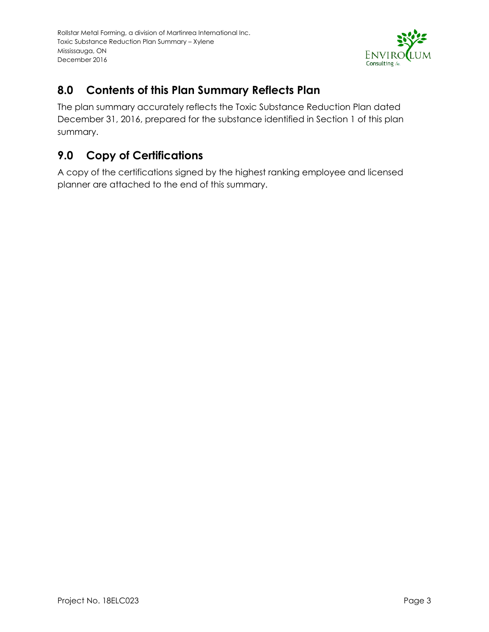

#### <span id="page-5-0"></span>**8.0 Contents of this Plan Summary Reflects Plan**

The plan summary accurately reflects the Toxic Substance Reduction Plan dated December 31, 2016, prepared for the substance identified in Section 1 of this plan summary.

### <span id="page-5-1"></span>**9.0 Copy of Certifications**

A copy of the certifications signed by the highest ranking employee and licensed planner are attached to the end of this summary.